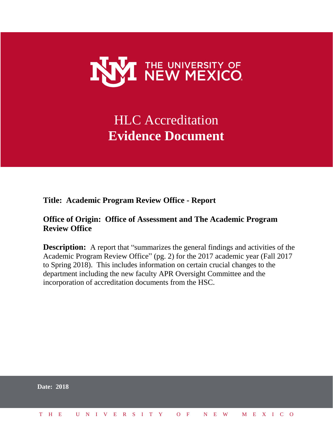

# HLC Accreditation **Evidence Document**

**Title: Academic Program Review Office - Report**

# **Office of Origin: Office of Assessment and The Academic Program Review Office**

**Description:** A report that "summarizes the general findings and activities of the Academic Program Review Office" (pg. 2) for the 2017 academic year (Fall 2017 to Spring 2018). This includes information on certain crucial changes to the department including the new faculty APR Oversight Committee and the incorporation of accreditation documents from the HSC.

| <b>Date: 2018</b>            |  |  |  |  |  |  |  |  |  |  |  |  |  |  |
|------------------------------|--|--|--|--|--|--|--|--|--|--|--|--|--|--|
| THE UNIVERSITY OF NEW MEXICO |  |  |  |  |  |  |  |  |  |  |  |  |  |  |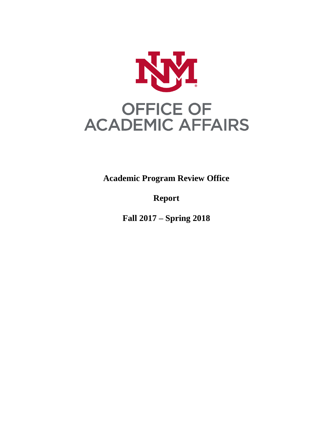

**Academic Program Review Office**

**Report**

**Fall 2017 – Spring 2018**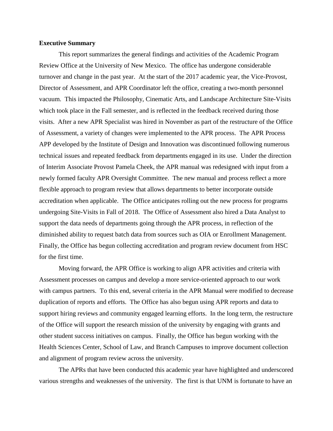## **Executive Summary**

This report summarizes the general findings and activities of the Academic Program Review Office at the University of New Mexico. The office has undergone considerable turnover and change in the past year. At the start of the 2017 academic year, the Vice-Provost, Director of Assessment, and APR Coordinator left the office, creating a two-month personnel vacuum. This impacted the Philosophy, Cinematic Arts, and Landscape Architecture Site-Visits which took place in the Fall semester, and is reflected in the feedback received during those visits. After a new APR Specialist was hired in November as part of the restructure of the Office of Assessment, a variety of changes were implemented to the APR process. The APR Process APP developed by the Institute of Design and Innovation was discontinued following numerous technical issues and repeated feedback from departments engaged in its use. Under the direction of Interim Associate Provost Pamela Cheek, the APR manual was redesigned with input from a newly formed faculty APR Oversight Committee. The new manual and process reflect a more flexible approach to program review that allows departments to better incorporate outside accreditation when applicable. The Office anticipates rolling out the new process for programs undergoing Site-Visits in Fall of 2018. The Office of Assessment also hired a Data Analyst to support the data needs of departments going through the APR process, in reflection of the diminished ability to request batch data from sources such as OIA or Enrollment Management. Finally, the Office has begun collecting accreditation and program review document from HSC for the first time.

Moving forward, the APR Office is working to align APR activities and criteria with Assessment processes on campus and develop a more service-oriented approach to our work with campus partners. To this end, several criteria in the APR Manual were modified to decrease duplication of reports and efforts. The Office has also begun using APR reports and data to support hiring reviews and community engaged learning efforts. In the long term, the restructure of the Office will support the research mission of the university by engaging with grants and other student success initiatives on campus. Finally, the Office has begun working with the Health Sciences Center, School of Law, and Branch Campuses to improve document collection and alignment of program review across the university.

The APRs that have been conducted this academic year have highlighted and underscored various strengths and weaknesses of the university. The first is that UNM is fortunate to have an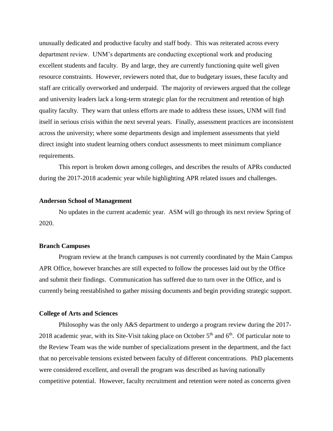unusually dedicated and productive faculty and staff body. This was reiterated across every department review. UNM's departments are conducting exceptional work and producing excellent students and faculty. By and large, they are currently functioning quite well given resource constraints. However, reviewers noted that, due to budgetary issues, these faculty and staff are critically overworked and underpaid. The majority of reviewers argued that the college and university leaders lack a long-term strategic plan for the recruitment and retention of high quality faculty. They warn that unless efforts are made to address these issues, UNM will find itself in serious crisis within the next several years. Finally, assessment practices are inconsistent across the university; where some departments design and implement assessments that yield direct insight into student learning others conduct assessments to meet minimum compliance requirements.

This report is broken down among colleges, and describes the results of APRs conducted during the 2017-2018 academic year while highlighting APR related issues and challenges.

#### **Anderson School of Management**

No updates in the current academic year. ASM will go through its next review Spring of 2020.

#### **Branch Campuses**

Program review at the branch campuses is not currently coordinated by the Main Campus APR Office, however branches are still expected to follow the processes laid out by the Office and submit their findings. Communication has suffered due to turn over in the Office, and is currently being reestablished to gather missing documents and begin providing strategic support.

#### **College of Arts and Sciences**

Philosophy was the only A&S department to undergo a program review during the 2017- 2018 academic year, with its Site-Visit taking place on October  $5<sup>th</sup>$  and  $6<sup>th</sup>$ . Of particular note to the Review Team was the wide number of specializations present in the department, and the fact that no perceivable tensions existed between faculty of different concentrations. PhD placements were considered excellent, and overall the program was described as having nationally competitive potential. However, faculty recruitment and retention were noted as concerns given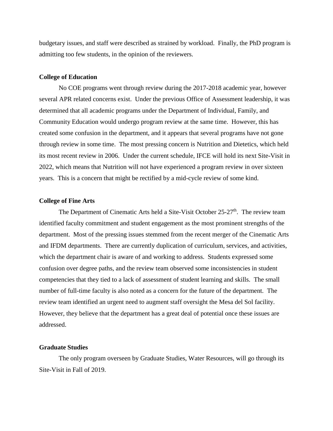budgetary issues, and staff were described as strained by workload. Finally, the PhD program is admitting too few students, in the opinion of the reviewers.

#### **College of Education**

No COE programs went through review during the 2017-2018 academic year, however several APR related concerns exist. Under the previous Office of Assessment leadership, it was determined that all academic programs under the Department of Individual, Family, and Community Education would undergo program review at the same time. However, this has created some confusion in the department, and it appears that several programs have not gone through review in some time. The most pressing concern is Nutrition and Dietetics, which held its most recent review in 2006. Under the current schedule, IFCE will hold its next Site-Visit in 2022, which means that Nutrition will not have experienced a program review in over sixteen years. This is a concern that might be rectified by a mid-cycle review of some kind.

#### **College of Fine Arts**

The Department of Cinematic Arts held a Site-Visit October  $25-27$ <sup>th</sup>. The review team identified faculty commitment and student engagement as the most prominent strengths of the department. Most of the pressing issues stemmed from the recent merger of the Cinematic Arts and IFDM departments. There are currently duplication of curriculum, services, and activities, which the department chair is aware of and working to address. Students expressed some confusion over degree paths, and the review team observed some inconsistencies in student competencies that they tied to a lack of assessment of student learning and skills. The small number of full-time faculty is also noted as a concern for the future of the department. The review team identified an urgent need to augment staff oversight the Mesa del Sol facility. However, they believe that the department has a great deal of potential once these issues are addressed.

# **Graduate Studies**

The only program overseen by Graduate Studies, Water Resources, will go through its Site-Visit in Fall of 2019.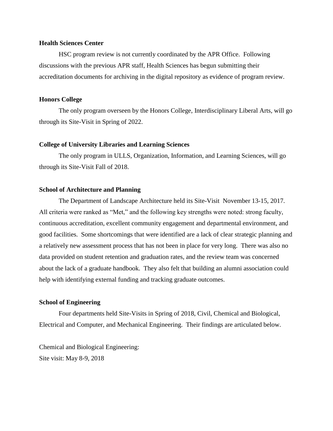# **Health Sciences Center**

HSC program review is not currently coordinated by the APR Office. Following discussions with the previous APR staff, Health Sciences has begun submitting their accreditation documents for archiving in the digital repository as evidence of program review.

## **Honors College**

The only program overseen by the Honors College, Interdisciplinary Liberal Arts, will go through its Site-Visit in Spring of 2022.

## **College of University Libraries and Learning Sciences**

The only program in ULLS, Organization, Information, and Learning Sciences, will go through its Site-Visit Fall of 2018.

# **School of Architecture and Planning**

The Department of Landscape Architecture held its Site-Visit November 13-15, 2017. All criteria were ranked as "Met," and the following key strengths were noted: strong faculty, continuous accreditation, excellent community engagement and departmental environment, and good facilities. Some shortcomings that were identified are a lack of clear strategic planning and a relatively new assessment process that has not been in place for very long. There was also no data provided on student retention and graduation rates, and the review team was concerned about the lack of a graduate handbook. They also felt that building an alumni association could help with identifying external funding and tracking graduate outcomes.

# **School of Engineering**

Four departments held Site-Visits in Spring of 2018, Civil, Chemical and Biological, Electrical and Computer, and Mechanical Engineering. Their findings are articulated below.

Chemical and Biological Engineering: Site visit: May 8-9, 2018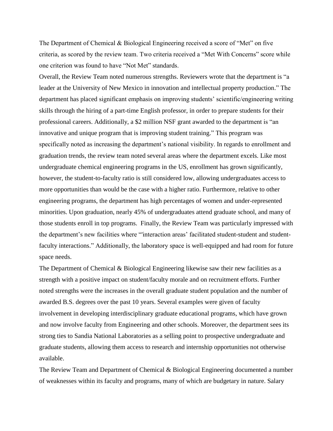The Department of Chemical & Biological Engineering received a score of "Met" on five criteria, as scored by the review team. Two criteria received a "Met With Concerns" score while one criterion was found to have "Not Met" standards.

Overall, the Review Team noted numerous strengths. Reviewers wrote that the department is "a leader at the University of New Mexico in innovation and intellectual property production." The department has placed significant emphasis on improving students' scientific/engineering writing skills through the hiring of a part-time English professor, in order to prepare students for their professional careers. Additionally, a \$2 million NSF grant awarded to the department is "an innovative and unique program that is improving student training." This program was specifically noted as increasing the department's national visibility. In regards to enrollment and graduation trends, the review team noted several areas where the department excels. Like most undergraduate chemical engineering programs in the US, enrollment has grown significantly, however, the student-to-faculty ratio is still considered low, allowing undergraduates access to more opportunities than would be the case with a higher ratio. Furthermore, relative to other engineering programs, the department has high percentages of women and under-represented minorities. Upon graduation, nearly 45% of undergraduates attend graduate school, and many of those students enroll in top programs. Finally, the Review Team was particularly impressed with the department's new facilities where "'interaction areas' facilitated student-student and studentfaculty interactions." Additionally, the laboratory space is well-equipped and had room for future space needs.

The Department of Chemical & Biological Engineering likewise saw their new facilities as a strength with a positive impact on student/faculty morale and on recruitment efforts. Further noted strengths were the increases in the overall graduate student population and the number of awarded B.S. degrees over the past 10 years. Several examples were given of faculty involvement in developing interdisciplinary graduate educational programs, which have grown and now involve faculty from Engineering and other schools. Moreover, the department sees its strong ties to Sandia National Laboratories as a selling point to prospective undergraduate and graduate students, allowing them access to research and internship opportunities not otherwise available.

The Review Team and Department of Chemical & Biological Engineering documented a number of weaknesses within its faculty and programs, many of which are budgetary in nature. Salary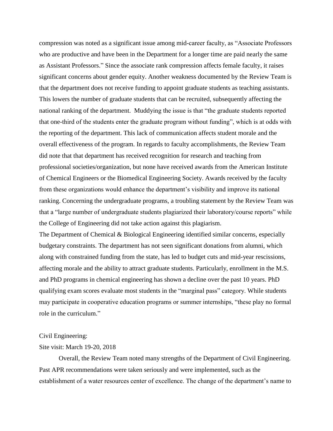compression was noted as a significant issue among mid-career faculty, as "Associate Professors who are productive and have been in the Department for a longer time are paid nearly the same as Assistant Professors." Since the associate rank compression affects female faculty, it raises significant concerns about gender equity. Another weakness documented by the Review Team is that the department does not receive funding to appoint graduate students as teaching assistants. This lowers the number of graduate students that can be recruited, subsequently affecting the national ranking of the department. Muddying the issue is that "the graduate students reported that one-third of the students enter the graduate program without funding", which is at odds with the reporting of the department. This lack of communication affects student morale and the overall effectiveness of the program. In regards to faculty accomplishments, the Review Team did note that that department has received recognition for research and teaching from professional societies/organization, but none have received awards from the American Institute of Chemical Engineers or the Biomedical Engineering Society. Awards received by the faculty from these organizations would enhance the department's visibility and improve its national ranking. Concerning the undergraduate programs, a troubling statement by the Review Team was that a "large number of undergraduate students plagiarized their laboratory/course reports" while the College of Engineering did not take action against this plagiarism.

The Department of Chemical & Biological Engineering identified similar concerns, especially budgetary constraints. The department has not seen significant donations from alumni, which along with constrained funding from the state, has led to budget cuts and mid-year rescissions, affecting morale and the ability to attract graduate students. Particularly, enrollment in the M.S. and PhD programs in chemical engineering has shown a decline over the past 10 years. PhD qualifying exam scores evaluate most students in the "marginal pass" category. While students may participate in cooperative education programs or summer internships, "these play no formal role in the curriculum."

# Civil Engineering:

# Site visit: March 19-20, 2018

Overall, the Review Team noted many strengths of the Department of Civil Engineering. Past APR recommendations were taken seriously and were implemented, such as the establishment of a water resources center of excellence. The change of the department's name to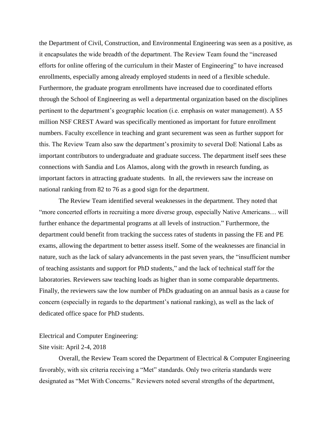the Department of Civil, Construction, and Environmental Engineering was seen as a positive, as it encapsulates the wide breadth of the department. The Review Team found the "increased efforts for online offering of the curriculum in their Master of Engineering" to have increased enrollments, especially among already employed students in need of a flexible schedule. Furthermore, the graduate program enrollments have increased due to coordinated efforts through the School of Engineering as well a departmental organization based on the disciplines pertinent to the department's geographic location (i.e. emphasis on water management). A \$5 million NSF CREST Award was specifically mentioned as important for future enrollment numbers. Faculty excellence in teaching and grant securement was seen as further support for this. The Review Team also saw the department's proximity to several DoE National Labs as important contributors to undergraduate and graduate success. The department itself sees these connections with Sandia and Los Alamos, along with the growth in research funding, as important factors in attracting graduate students. In all, the reviewers saw the increase on national ranking from 82 to 76 as a good sign for the department.

The Review Team identified several weaknesses in the department. They noted that "more concerted efforts in recruiting a more diverse group, especially Native Americans… will further enhance the departmental programs at all levels of instruction." Furthermore, the department could benefit from tracking the success rates of students in passing the FE and PE exams, allowing the department to better assess itself. Some of the weaknesses are financial in nature, such as the lack of salary advancements in the past seven years, the "insufficient number of teaching assistants and support for PhD students," and the lack of technical staff for the laboratories. Reviewers saw teaching loads as higher than in some comparable departments. Finally, the reviewers saw the low number of PhDs graduating on an annual basis as a cause for concern (especially in regards to the department's national ranking), as well as the lack of dedicated office space for PhD students.

#### Electrical and Computer Engineering:

## Site visit: April 2-4, 2018

Overall, the Review Team scored the Department of Electrical & Computer Engineering favorably, with six criteria receiving a "Met" standards. Only two criteria standards were designated as "Met With Concerns." Reviewers noted several strengths of the department,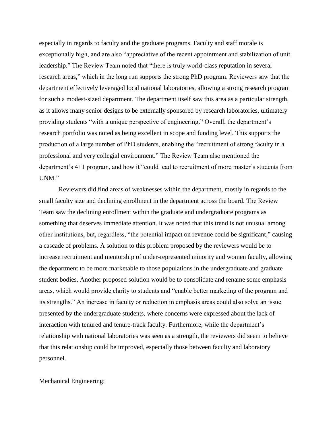especially in regards to faculty and the graduate programs. Faculty and staff morale is exceptionally high, and are also "appreciative of the recent appointment and stabilization of unit leadership." The Review Team noted that "there is truly world-class reputation in several research areas," which in the long run supports the strong PhD program. Reviewers saw that the department effectively leveraged local national laboratories, allowing a strong research program for such a modest-sized department. The department itself saw this area as a particular strength, as it allows many senior designs to be externally sponsored by research laboratories, ultimately providing students "with a unique perspective of engineering." Overall, the department's research portfolio was noted as being excellent in scope and funding level. This supports the production of a large number of PhD students, enabling the "recruitment of strong faculty in a professional and very collegial environment." The Review Team also mentioned the department's 4+1 program, and how it "could lead to recruitment of more master's students from UNM."

Reviewers did find areas of weaknesses within the department, mostly in regards to the small faculty size and declining enrollment in the department across the board. The Review Team saw the declining enrollment within the graduate and undergraduate programs as something that deserves immediate attention. It was noted that this trend is not unusual among other institutions, but, regardless, "the potential impact on revenue could be significant," causing a cascade of problems. A solution to this problem proposed by the reviewers would be to increase recruitment and mentorship of under-represented minority and women faculty, allowing the department to be more marketable to those populations in the undergraduate and graduate student bodies. Another proposed solution would be to consolidate and rename some emphasis areas, which would provide clarity to students and "enable better marketing of the program and its strengths." An increase in faculty or reduction in emphasis areas could also solve an issue presented by the undergraduate students, where concerns were expressed about the lack of interaction with tenured and tenure-track faculty. Furthermore, while the department's relationship with national laboratories was seen as a strength, the reviewers did seem to believe that this relationship could be improved, especially those between faculty and laboratory personnel.

# Mechanical Engineering: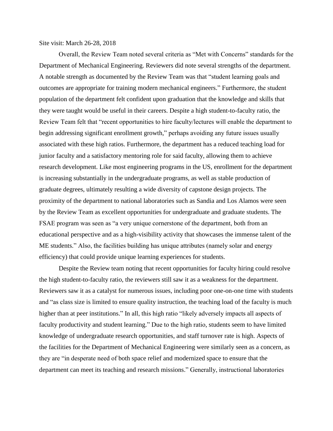Site visit: March 26-28, 2018

Overall, the Review Team noted several criteria as "Met with Concerns" standards for the Department of Mechanical Engineering. Reviewers did note several strengths of the department. A notable strength as documented by the Review Team was that "student learning goals and outcomes are appropriate for training modern mechanical engineers." Furthermore, the student population of the department felt confident upon graduation that the knowledge and skills that they were taught would be useful in their careers. Despite a high student-to-faculty ratio, the Review Team felt that "recent opportunities to hire faculty/lectures will enable the department to begin addressing significant enrollment growth," perhaps avoiding any future issues usually associated with these high ratios. Furthermore, the department has a reduced teaching load for junior faculty and a satisfactory mentoring role for said faculty, allowing them to achieve research development. Like most engineering programs in the US, enrollment for the department is increasing substantially in the undergraduate programs, as well as stable production of graduate degrees, ultimately resulting a wide diversity of capstone design projects. The proximity of the department to national laboratories such as Sandia and Los Alamos were seen by the Review Team as excellent opportunities for undergraduate and graduate students. The FSAE program was seen as "a very unique cornerstone of the department, both from an educational perspective and as a high-visibility activity that showcases the immense talent of the ME students." Also, the facilities building has unique attributes (namely solar and energy efficiency) that could provide unique learning experiences for students.

Despite the Review team noting that recent opportunities for faculty hiring could resolve the high student-to-faculty ratio, the reviewers still saw it as a weakness for the department. Reviewers saw it as a catalyst for numerous issues, including poor one-on-one time with students and "as class size is limited to ensure quality instruction, the teaching load of the faculty is much higher than at peer institutions." In all, this high ratio "likely adversely impacts all aspects of faculty productivity and student learning." Due to the high ratio, students seem to have limited knowledge of undergraduate research opportunities, and staff turnover rate is high. Aspects of the facilities for the Department of Mechanical Engineering were similarly seen as a concern, as they are "in desperate need of both space relief and modernized space to ensure that the department can meet its teaching and research missions." Generally, instructional laboratories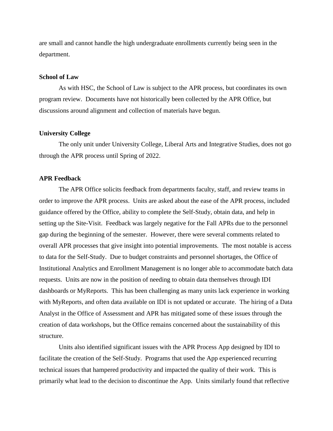are small and cannot handle the high undergraduate enrollments currently being seen in the department.

#### **School of Law**

As with HSC, the School of Law is subject to the APR process, but coordinates its own program review. Documents have not historically been collected by the APR Office, but discussions around alignment and collection of materials have begun.

#### **University College**

The only unit under University College, Liberal Arts and Integrative Studies, does not go through the APR process until Spring of 2022.

#### **APR Feedback**

The APR Office solicits feedback from departments faculty, staff, and review teams in order to improve the APR process. Units are asked about the ease of the APR process, included guidance offered by the Office, ability to complete the Self-Study, obtain data, and help in setting up the Site-Visit. Feedback was largely negative for the Fall APRs due to the personnel gap during the beginning of the semester. However, there were several comments related to overall APR processes that give insight into potential improvements. The most notable is access to data for the Self-Study. Due to budget constraints and personnel shortages, the Office of Institutional Analytics and Enrollment Management is no longer able to accommodate batch data requests. Units are now in the position of needing to obtain data themselves through IDI dashboards or MyReports. This has been challenging as many units lack experience in working with MyReports, and often data available on IDI is not updated or accurate. The hiring of a Data Analyst in the Office of Assessment and APR has mitigated some of these issues through the creation of data workshops, but the Office remains concerned about the sustainability of this structure.

Units also identified significant issues with the APR Process App designed by IDI to facilitate the creation of the Self-Study. Programs that used the App experienced recurring technical issues that hampered productivity and impacted the quality of their work. This is primarily what lead to the decision to discontinue the App. Units similarly found that reflective